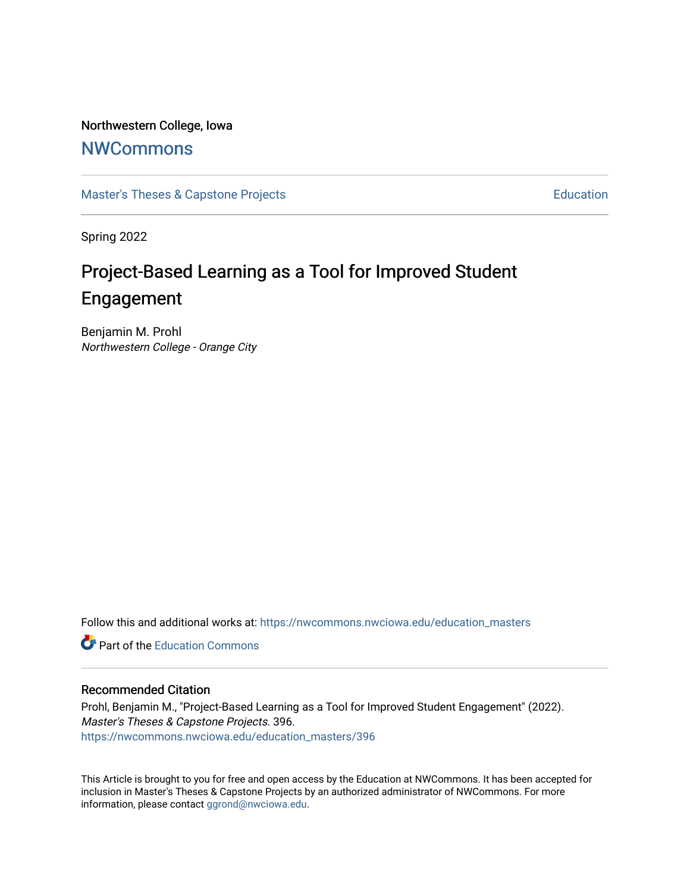### Northwestern College, Iowa

# **[NWCommons](https://nwcommons.nwciowa.edu/)**

[Master's Theses & Capstone Projects](https://nwcommons.nwciowa.edu/education_masters) **Education** Education

Spring 2022

# Project-Based Learning as a Tool for Improved Student Engagement

Benjamin M. Prohl Northwestern College - Orange City

Follow this and additional works at: [https://nwcommons.nwciowa.edu/education\\_masters](https://nwcommons.nwciowa.edu/education_masters?utm_source=nwcommons.nwciowa.edu%2Feducation_masters%2F396&utm_medium=PDF&utm_campaign=PDFCoverPages)

**C** Part of the [Education Commons](https://network.bepress.com/hgg/discipline/784?utm_source=nwcommons.nwciowa.edu%2Feducation_masters%2F396&utm_medium=PDF&utm_campaign=PDFCoverPages)

### Recommended Citation

Prohl, Benjamin M., "Project-Based Learning as a Tool for Improved Student Engagement" (2022). Master's Theses & Capstone Projects. 396. [https://nwcommons.nwciowa.edu/education\\_masters/396](https://nwcommons.nwciowa.edu/education_masters/396?utm_source=nwcommons.nwciowa.edu%2Feducation_masters%2F396&utm_medium=PDF&utm_campaign=PDFCoverPages)

This Article is brought to you for free and open access by the Education at NWCommons. It has been accepted for inclusion in Master's Theses & Capstone Projects by an authorized administrator of NWCommons. For more information, please contact [ggrond@nwciowa.edu](mailto:ggrond@nwciowa.edu).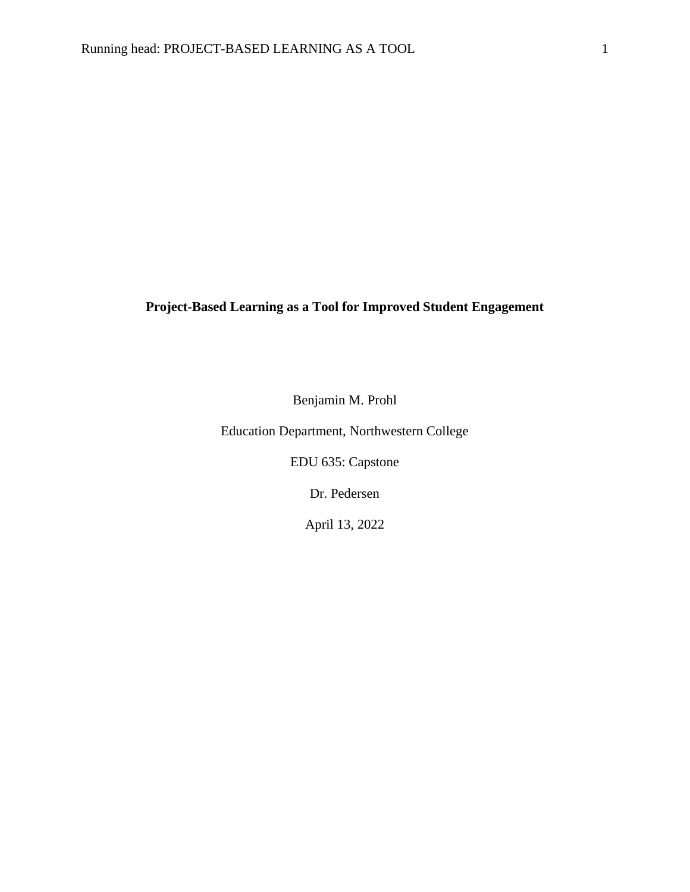# **Project-Based Learning as a Tool for Improved Student Engagement**

Benjamin M. Prohl

Education Department, Northwestern College

EDU 635: Capstone

Dr. Pedersen

April 13, 2022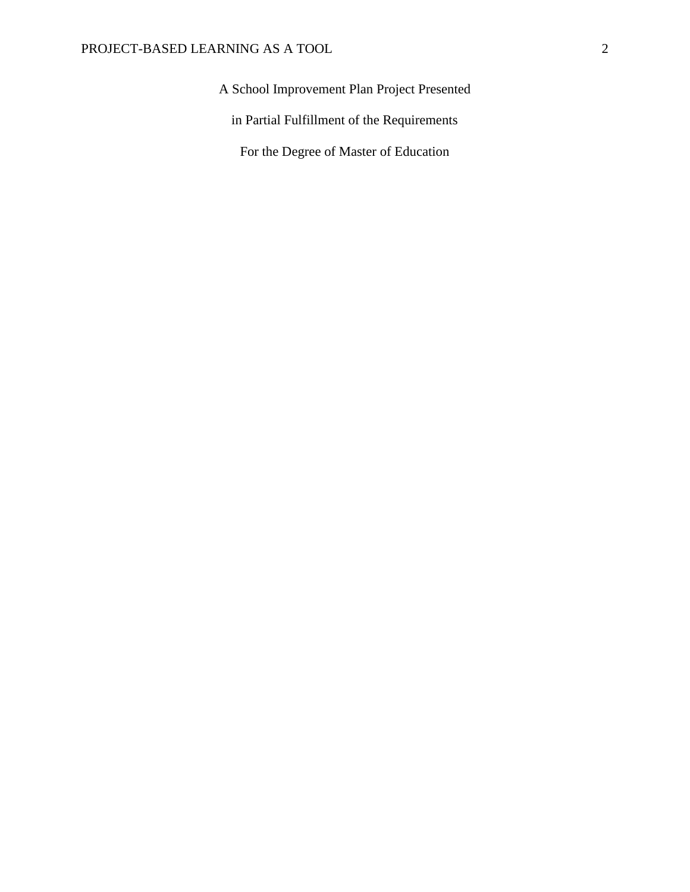# A School Improvement Plan Project Presented

in Partial Fulfillment of the Requirements

For the Degree of Master of Education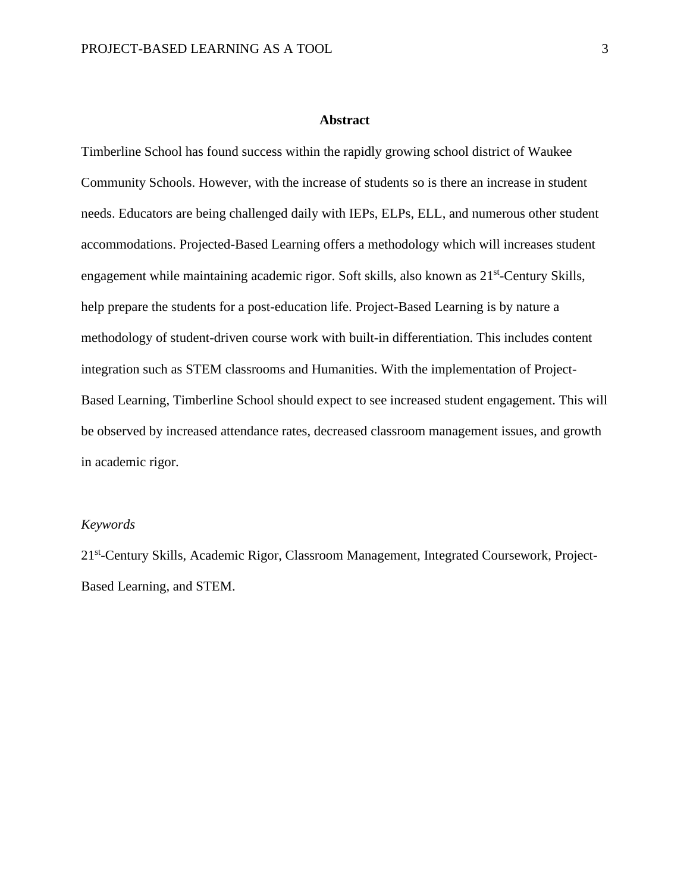#### **Abstract**

Timberline School has found success within the rapidly growing school district of Waukee Community Schools. However, with the increase of students so is there an increase in student needs. Educators are being challenged daily with IEPs, ELPs, ELL, and numerous other student accommodations. Projected-Based Learning offers a methodology which will increases student engagement while maintaining academic rigor. Soft skills, also known as 21<sup>st</sup>-Century Skills, help prepare the students for a post-education life. Project-Based Learning is by nature a methodology of student-driven course work with built-in differentiation. This includes content integration such as STEM classrooms and Humanities. With the implementation of Project-Based Learning, Timberline School should expect to see increased student engagement. This will be observed by increased attendance rates, decreased classroom management issues, and growth in academic rigor.

#### *Keywords*

21<sup>st</sup>-Century Skills, Academic Rigor, Classroom Management, Integrated Coursework, Project-Based Learning, and STEM.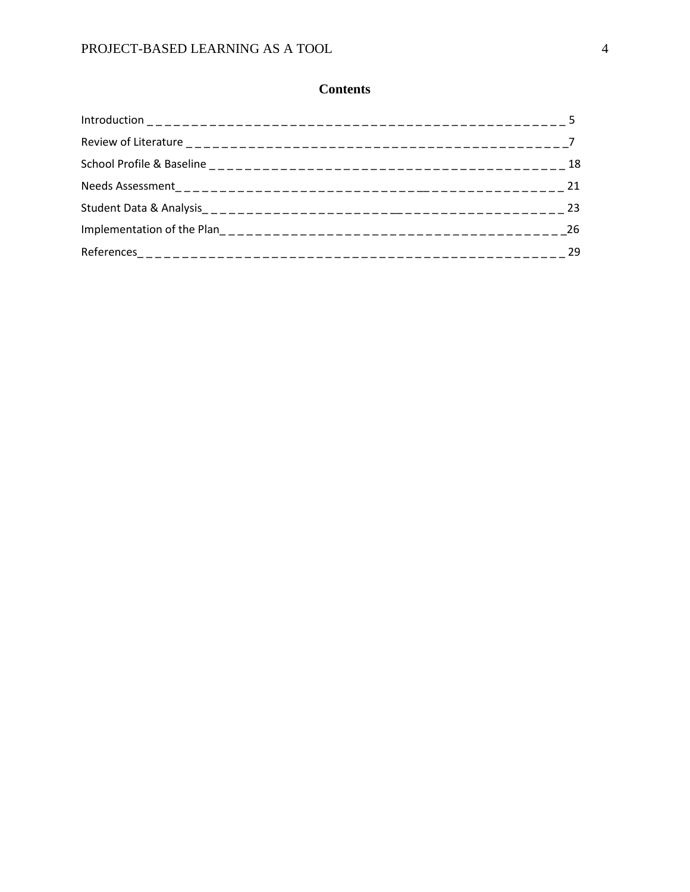# **Contents**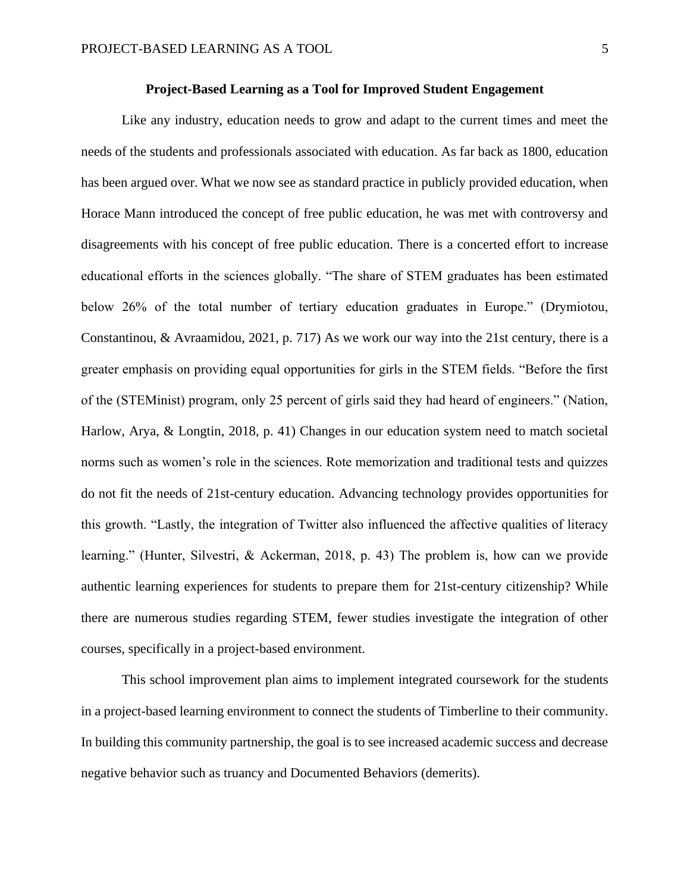### **Project-Based Learning as a Tool for Improved Student Engagement**

Like any industry, education needs to grow and adapt to the current times and meet the needs of the students and professionals associated with education. As far back as 1800, education has been argued over. What we now see as standard practice in publicly provided education, when Horace Mann introduced the concept of free public education, he was met with controversy and disagreements with his concept of free public education. There is a concerted effort to increase educational efforts in the sciences globally. "The share of STEM graduates has been estimated below 26% of the total number of tertiary education graduates in Europe." (Drymiotou, Constantinou, & Avraamidou, 2021, p. 717) As we work our way into the 21st century, there is a greater emphasis on providing equal opportunities for girls in the STEM fields. "Before the first of the (STEMinist) program, only 25 percent of girls said they had heard of engineers." (Nation, Harlow, Arya, & Longtin, 2018, p. 41) Changes in our education system need to match societal norms such as women's role in the sciences. Rote memorization and traditional tests and quizzes do not fit the needs of 21st-century education. Advancing technology provides opportunities for this growth. "Lastly, the integration of Twitter also influenced the affective qualities of literacy learning." (Hunter, Silvestri, & Ackerman, 2018, p. 43) The problem is, how can we provide authentic learning experiences for students to prepare them for 21st-century citizenship? While there are numerous studies regarding STEM, fewer studies investigate the integration of other courses, specifically in a project-based environment.

This school improvement plan aims to implement integrated coursework for the students in a project-based learning environment to connect the students of Timberline to their community. In building this community partnership, the goal is to see increased academic success and decrease negative behavior such as truancy and Documented Behaviors (demerits).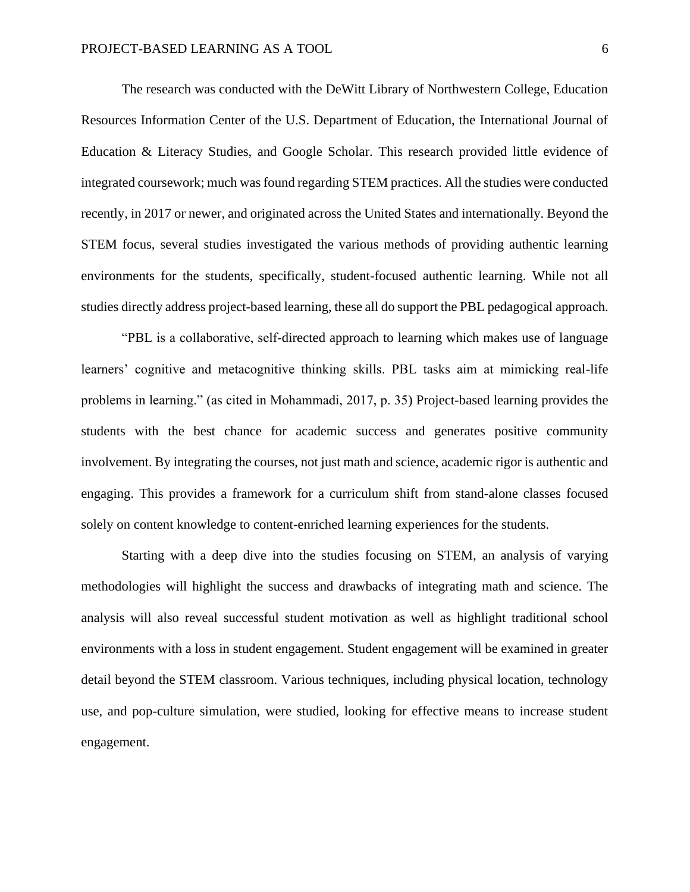The research was conducted with the DeWitt Library of Northwestern College, Education Resources Information Center of the U.S. Department of Education, the International Journal of Education & Literacy Studies, and Google Scholar. This research provided little evidence of integrated coursework; much was found regarding STEM practices. All the studies were conducted recently, in 2017 or newer, and originated across the United States and internationally. Beyond the STEM focus, several studies investigated the various methods of providing authentic learning environments for the students, specifically, student-focused authentic learning. While not all studies directly address project-based learning, these all do support the PBL pedagogical approach.

"PBL is a collaborative, self-directed approach to learning which makes use of language learners' cognitive and metacognitive thinking skills. PBL tasks aim at mimicking real-life problems in learning." (as cited in Mohammadi, 2017, p. 35) Project-based learning provides the students with the best chance for academic success and generates positive community involvement. By integrating the courses, not just math and science, academic rigor is authentic and engaging. This provides a framework for a curriculum shift from stand-alone classes focused solely on content knowledge to content-enriched learning experiences for the students.

Starting with a deep dive into the studies focusing on STEM, an analysis of varying methodologies will highlight the success and drawbacks of integrating math and science. The analysis will also reveal successful student motivation as well as highlight traditional school environments with a loss in student engagement. Student engagement will be examined in greater detail beyond the STEM classroom. Various techniques, including physical location, technology use, and pop-culture simulation, were studied, looking for effective means to increase student engagement.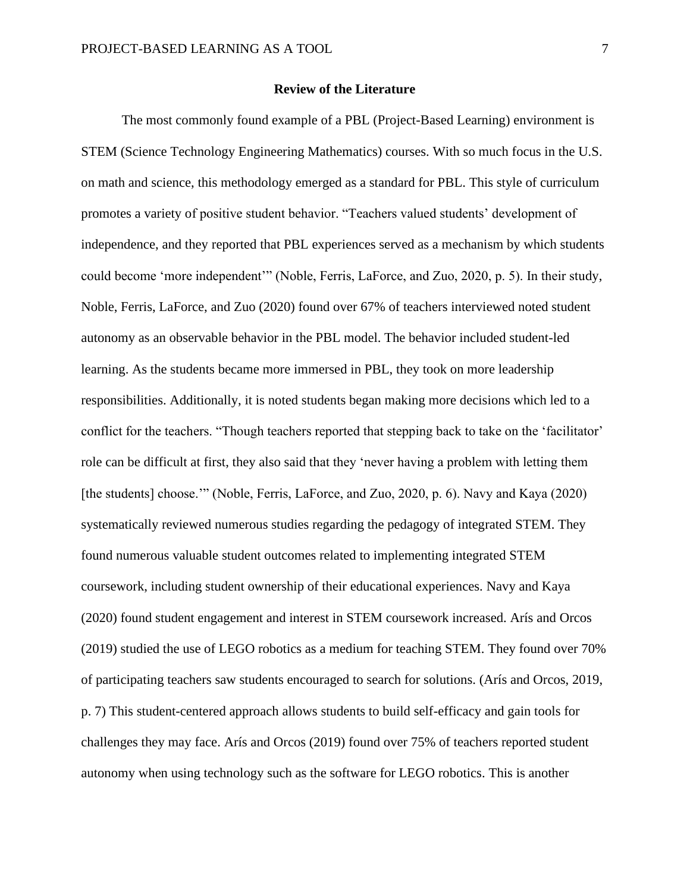#### **Review of the Literature**

The most commonly found example of a PBL (Project-Based Learning) environment is STEM (Science Technology Engineering Mathematics) courses. With so much focus in the U.S. on math and science, this methodology emerged as a standard for PBL. This style of curriculum promotes a variety of positive student behavior. "Teachers valued students' development of independence, and they reported that PBL experiences served as a mechanism by which students could become 'more independent'" (Noble, Ferris, LaForce, and Zuo, 2020, p. 5). In their study, Noble, Ferris, LaForce, and Zuo (2020) found over 67% of teachers interviewed noted student autonomy as an observable behavior in the PBL model. The behavior included student-led learning. As the students became more immersed in PBL, they took on more leadership responsibilities. Additionally, it is noted students began making more decisions which led to a conflict for the teachers. "Though teachers reported that stepping back to take on the 'facilitator' role can be difficult at first, they also said that they 'never having a problem with letting them [the students] choose.'" (Noble, Ferris, LaForce, and Zuo, 2020, p. 6). Navy and Kaya (2020) systematically reviewed numerous studies regarding the pedagogy of integrated STEM. They found numerous valuable student outcomes related to implementing integrated STEM coursework, including student ownership of their educational experiences. Navy and Kaya (2020) found student engagement and interest in STEM coursework increased. Arís and Orcos (2019) studied the use of LEGO robotics as a medium for teaching STEM. They found over 70% of participating teachers saw students encouraged to search for solutions. (Arís and Orcos, 2019, p. 7) This student-centered approach allows students to build self-efficacy and gain tools for challenges they may face. Arís and Orcos (2019) found over 75% of teachers reported student autonomy when using technology such as the software for LEGO robotics. This is another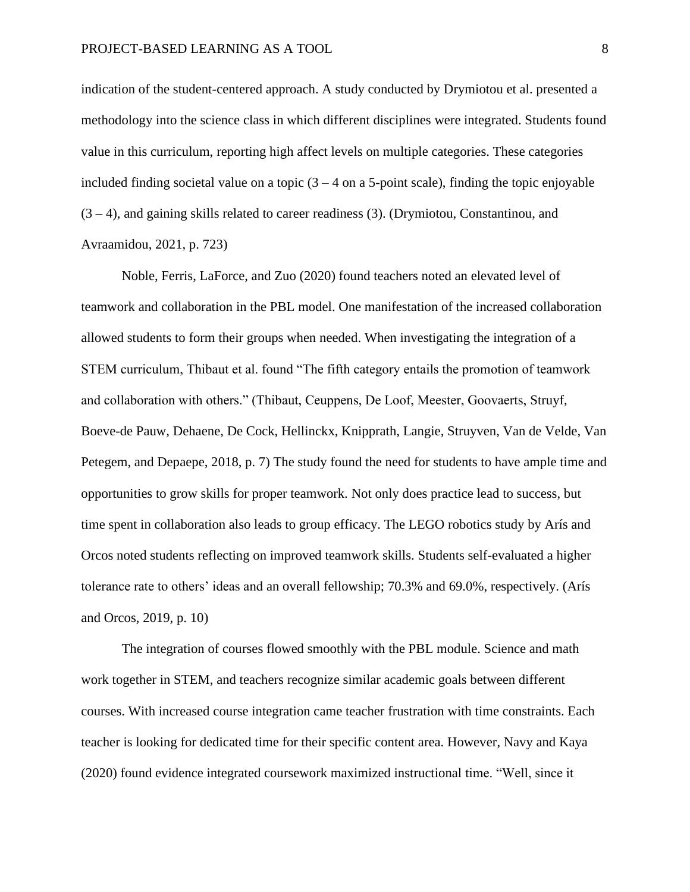indication of the student-centered approach. A study conducted by Drymiotou et al. presented a methodology into the science class in which different disciplines were integrated. Students found value in this curriculum, reporting high affect levels on multiple categories. These categories included finding societal value on a topic  $(3 - 4)$  on a 5-point scale), finding the topic enjoyable  $(3 - 4)$ , and gaining skills related to career readiness (3). (Drymiotou, Constantinou, and Avraamidou, 2021, p. 723)

Noble, Ferris, LaForce, and Zuo (2020) found teachers noted an elevated level of teamwork and collaboration in the PBL model. One manifestation of the increased collaboration allowed students to form their groups when needed. When investigating the integration of a STEM curriculum, Thibaut et al. found "The fifth category entails the promotion of teamwork and collaboration with others." (Thibaut, Ceuppens, De Loof, Meester, Goovaerts, Struyf, Boeve-de Pauw, Dehaene, De Cock, Hellinckx, Knipprath, Langie, Struyven, Van de Velde, Van Petegem, and Depaepe, 2018, p. 7) The study found the need for students to have ample time and opportunities to grow skills for proper teamwork. Not only does practice lead to success, but time spent in collaboration also leads to group efficacy. The LEGO robotics study by Arís and Orcos noted students reflecting on improved teamwork skills. Students self-evaluated a higher tolerance rate to others' ideas and an overall fellowship; 70.3% and 69.0%, respectively. (Arís and Orcos, 2019, p. 10)

The integration of courses flowed smoothly with the PBL module. Science and math work together in STEM, and teachers recognize similar academic goals between different courses. With increased course integration came teacher frustration with time constraints. Each teacher is looking for dedicated time for their specific content area. However, Navy and Kaya (2020) found evidence integrated coursework maximized instructional time. "Well, since it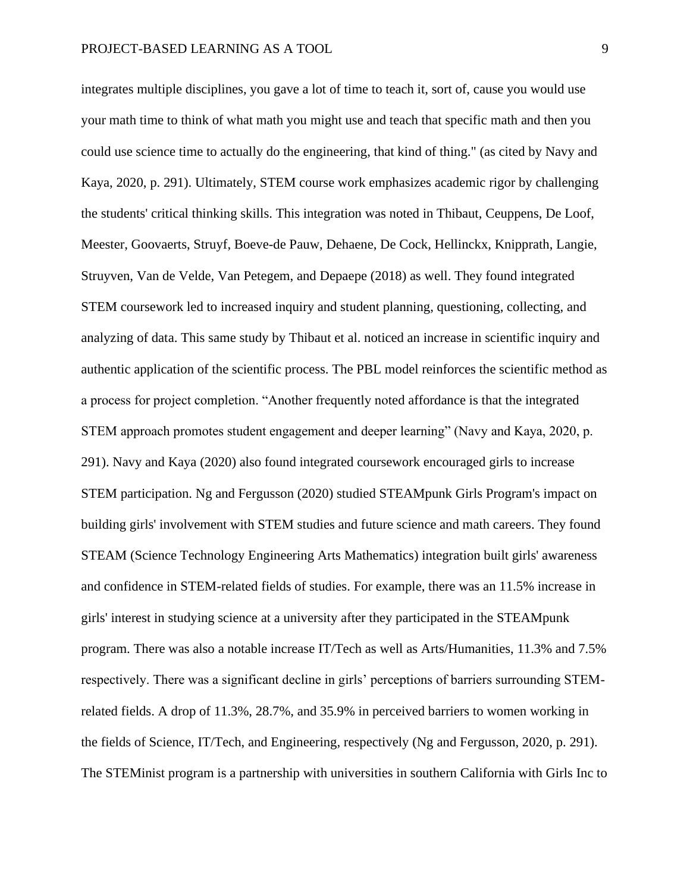integrates multiple disciplines, you gave a lot of time to teach it, sort of, cause you would use your math time to think of what math you might use and teach that specific math and then you could use science time to actually do the engineering, that kind of thing." (as cited by Navy and Kaya, 2020, p. 291). Ultimately, STEM course work emphasizes academic rigor by challenging the students' critical thinking skills. This integration was noted in Thibaut, Ceuppens, De Loof, Meester, Goovaerts, Struyf, Boeve-de Pauw, Dehaene, De Cock, Hellinckx, Knipprath, Langie, Struyven, Van de Velde, Van Petegem, and Depaepe (2018) as well. They found integrated STEM coursework led to increased inquiry and student planning, questioning, collecting, and analyzing of data. This same study by Thibaut et al. noticed an increase in scientific inquiry and authentic application of the scientific process. The PBL model reinforces the scientific method as a process for project completion. "Another frequently noted affordance is that the integrated STEM approach promotes student engagement and deeper learning" (Navy and Kaya, 2020, p. 291). Navy and Kaya (2020) also found integrated coursework encouraged girls to increase STEM participation. Ng and Fergusson (2020) studied STEAMpunk Girls Program's impact on building girls' involvement with STEM studies and future science and math careers. They found STEAM (Science Technology Engineering Arts Mathematics) integration built girls' awareness and confidence in STEM-related fields of studies. For example, there was an 11.5% increase in girls' interest in studying science at a university after they participated in the STEAMpunk program. There was also a notable increase IT/Tech as well as Arts/Humanities, 11.3% and 7.5% respectively. There was a significant decline in girls' perceptions of barriers surrounding STEMrelated fields. A drop of 11.3%, 28.7%, and 35.9% in perceived barriers to women working in the fields of Science, IT/Tech, and Engineering, respectively (Ng and Fergusson, 2020, p. 291). The STEMinist program is a partnership with universities in southern California with Girls Inc to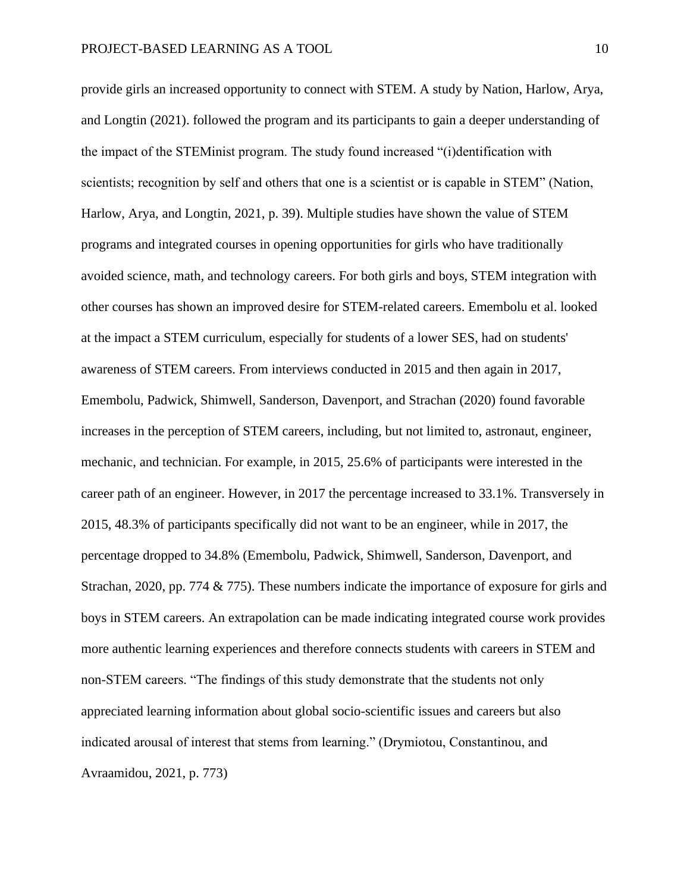provide girls an increased opportunity to connect with STEM. A study by Nation, Harlow, Arya, and Longtin (2021). followed the program and its participants to gain a deeper understanding of the impact of the STEMinist program. The study found increased "(i)dentification with scientists; recognition by self and others that one is a scientist or is capable in STEM" (Nation, Harlow, Arya, and Longtin, 2021, p. 39). Multiple studies have shown the value of STEM programs and integrated courses in opening opportunities for girls who have traditionally avoided science, math, and technology careers. For both girls and boys, STEM integration with other courses has shown an improved desire for STEM-related careers. Emembolu et al. looked at the impact a STEM curriculum, especially for students of a lower SES, had on students' awareness of STEM careers. From interviews conducted in 2015 and then again in 2017, Emembolu, Padwick, Shimwell, Sanderson, Davenport, and Strachan (2020) found favorable increases in the perception of STEM careers, including, but not limited to, astronaut, engineer, mechanic, and technician. For example, in 2015, 25.6% of participants were interested in the career path of an engineer. However, in 2017 the percentage increased to 33.1%. Transversely in 2015, 48.3% of participants specifically did not want to be an engineer, while in 2017, the percentage dropped to 34.8% (Emembolu, Padwick, Shimwell, Sanderson, Davenport, and Strachan, 2020, pp. 774  $\&$  775). These numbers indicate the importance of exposure for girls and boys in STEM careers. An extrapolation can be made indicating integrated course work provides more authentic learning experiences and therefore connects students with careers in STEM and non-STEM careers. "The findings of this study demonstrate that the students not only appreciated learning information about global socio-scientific issues and careers but also indicated arousal of interest that stems from learning." (Drymiotou, Constantinou, and Avraamidou, 2021, p. 773)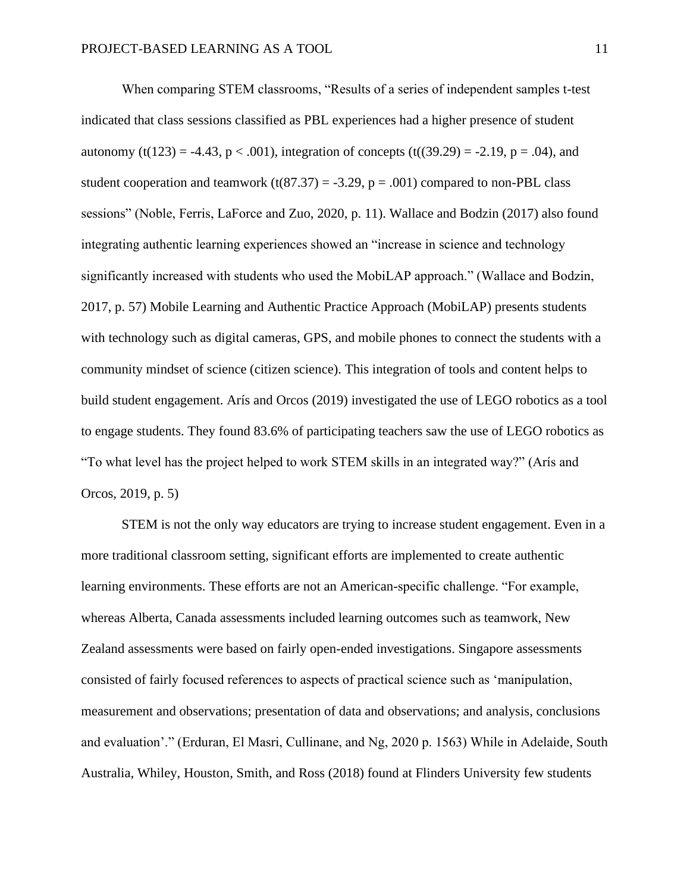When comparing STEM classrooms, "Results of a series of independent samples t-test indicated that class sessions classified as PBL experiences had a higher presence of student autonomy (t(123) = -4.43, p < .001), integration of concepts (t((39.29) = -2.19, p = .04), and student cooperation and teamwork (t(87.37) = -3.29,  $p = .001$ ) compared to non-PBL class sessions" (Noble, Ferris, LaForce and Zuo, 2020, p. 11). Wallace and Bodzin (2017) also found integrating authentic learning experiences showed an "increase in science and technology significantly increased with students who used the MobiLAP approach." (Wallace and Bodzin, 2017, p. 57) Mobile Learning and Authentic Practice Approach (MobiLAP) presents students with technology such as digital cameras, GPS, and mobile phones to connect the students with a community mindset of science (citizen science). This integration of tools and content helps to build student engagement. Arís and Orcos (2019) investigated the use of LEGO robotics as a tool to engage students. They found 83.6% of participating teachers saw the use of LEGO robotics as "To what level has the project helped to work STEM skills in an integrated way?" (Arís and Orcos, 2019, p. 5)

STEM is not the only way educators are trying to increase student engagement. Even in a more traditional classroom setting, significant efforts are implemented to create authentic learning environments. These efforts are not an American-specific challenge. "For example, whereas Alberta, Canada assessments included learning outcomes such as teamwork, New Zealand assessments were based on fairly open-ended investigations. Singapore assessments consisted of fairly focused references to aspects of practical science such as 'manipulation, measurement and observations; presentation of data and observations; and analysis, conclusions and evaluation'." (Erduran, El Masri, Cullinane, and Ng, 2020 p. 1563) While in Adelaide, South Australia, Whiley, Houston, Smith, and Ross (2018) found at Flinders University few students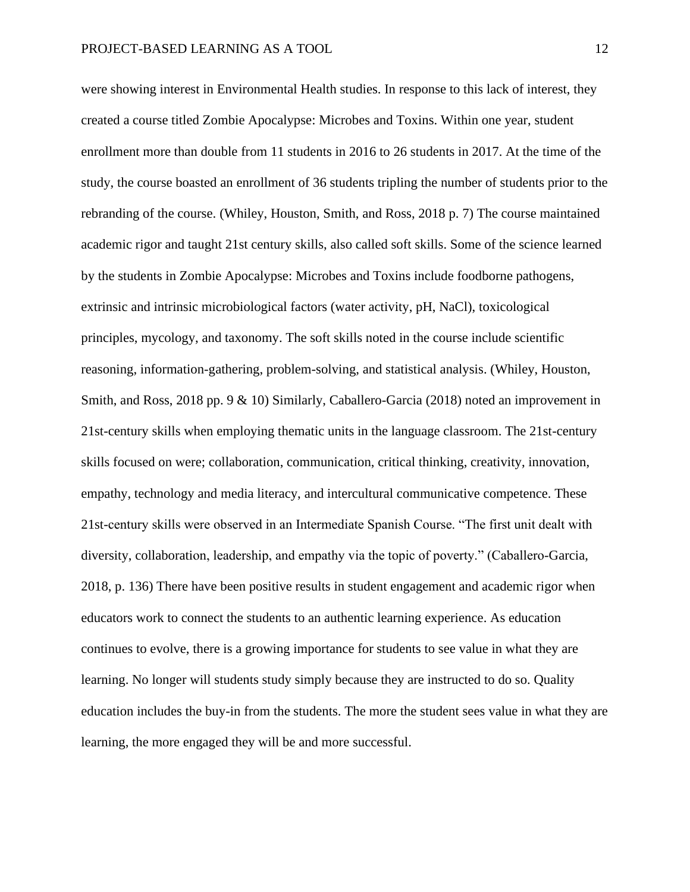were showing interest in Environmental Health studies. In response to this lack of interest, they created a course titled Zombie Apocalypse: Microbes and Toxins. Within one year, student enrollment more than double from 11 students in 2016 to 26 students in 2017. At the time of the study, the course boasted an enrollment of 36 students tripling the number of students prior to the rebranding of the course. (Whiley, Houston, Smith, and Ross, 2018 p. 7) The course maintained academic rigor and taught 21st century skills, also called soft skills. Some of the science learned by the students in Zombie Apocalypse: Microbes and Toxins include foodborne pathogens, extrinsic and intrinsic microbiological factors (water activity, pH, NaCl), toxicological principles, mycology, and taxonomy. The soft skills noted in the course include scientific reasoning, information-gathering, problem-solving, and statistical analysis. (Whiley, Houston, Smith, and Ross, 2018 pp. 9 & 10) Similarly, Caballero-Garcia (2018) noted an improvement in 21st-century skills when employing thematic units in the language classroom. The 21st-century skills focused on were; collaboration, communication, critical thinking, creativity, innovation, empathy, technology and media literacy, and intercultural communicative competence. These 21st-century skills were observed in an Intermediate Spanish Course. "The first unit dealt with diversity, collaboration, leadership, and empathy via the topic of poverty." (Caballero-Garcia, 2018, p. 136) There have been positive results in student engagement and academic rigor when educators work to connect the students to an authentic learning experience. As education continues to evolve, there is a growing importance for students to see value in what they are learning. No longer will students study simply because they are instructed to do so. Quality education includes the buy-in from the students. The more the student sees value in what they are learning, the more engaged they will be and more successful.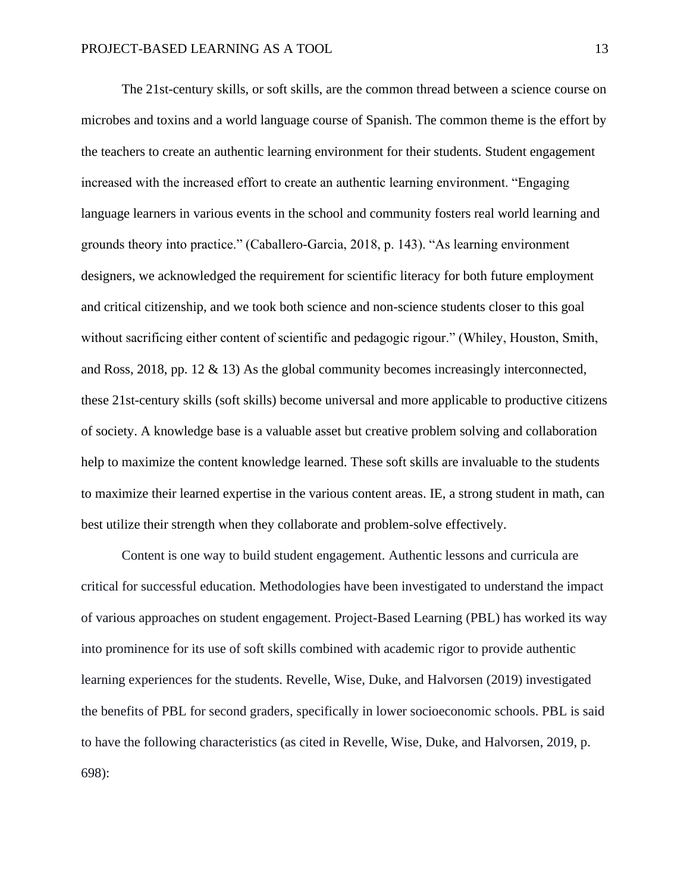The 21st-century skills, or soft skills, are the common thread between a science course on microbes and toxins and a world language course of Spanish. The common theme is the effort by the teachers to create an authentic learning environment for their students. Student engagement increased with the increased effort to create an authentic learning environment. "Engaging language learners in various events in the school and community fosters real world learning and grounds theory into practice." (Caballero-Garcia, 2018, p. 143). "As learning environment designers, we acknowledged the requirement for scientific literacy for both future employment and critical citizenship, and we took both science and non-science students closer to this goal without sacrificing either content of scientific and pedagogic rigour." (Whiley, Houston, Smith, and Ross, 2018, pp. 12 & 13) As the global community becomes increasingly interconnected, these 21st-century skills (soft skills) become universal and more applicable to productive citizens of society. A knowledge base is a valuable asset but creative problem solving and collaboration help to maximize the content knowledge learned. These soft skills are invaluable to the students to maximize their learned expertise in the various content areas. IE, a strong student in math, can best utilize their strength when they collaborate and problem-solve effectively.

Content is one way to build student engagement. Authentic lessons and curricula are critical for successful education. Methodologies have been investigated to understand the impact of various approaches on student engagement. Project-Based Learning (PBL) has worked its way into prominence for its use of soft skills combined with academic rigor to provide authentic learning experiences for the students. Revelle, Wise, Duke, and Halvorsen (2019) investigated the benefits of PBL for second graders, specifically in lower socioeconomic schools. PBL is said to have the following characteristics (as cited in Revelle, Wise, Duke, and Halvorsen, 2019, p. 698):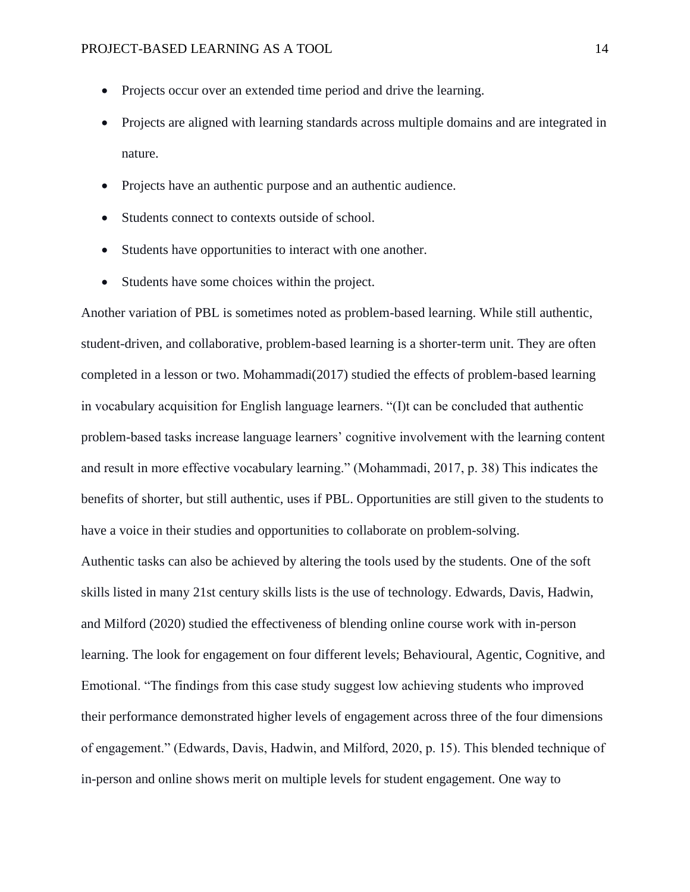- Projects occur over an extended time period and drive the learning.
- Projects are aligned with learning standards across multiple domains and are integrated in nature.
- Projects have an authentic purpose and an authentic audience.
- Students connect to contexts outside of school.
- Students have opportunities to interact with one another.
- Students have some choices within the project.

Another variation of PBL is sometimes noted as problem-based learning. While still authentic, student-driven, and collaborative, problem-based learning is a shorter-term unit. They are often completed in a lesson or two. Mohammadi(2017) studied the effects of problem-based learning in vocabulary acquisition for English language learners. "(I)t can be concluded that authentic problem-based tasks increase language learners' cognitive involvement with the learning content and result in more effective vocabulary learning." (Mohammadi, 2017, p. 38) This indicates the benefits of shorter, but still authentic, uses if PBL. Opportunities are still given to the students to have a voice in their studies and opportunities to collaborate on problem-solving.

Authentic tasks can also be achieved by altering the tools used by the students. One of the soft skills listed in many 21st century skills lists is the use of technology. Edwards, Davis, Hadwin, and Milford (2020) studied the effectiveness of blending online course work with in-person learning. The look for engagement on four different levels; Behavioural, Agentic, Cognitive, and Emotional. "The findings from this case study suggest low achieving students who improved their performance demonstrated higher levels of engagement across three of the four dimensions of engagement." (Edwards, Davis, Hadwin, and Milford, 2020, p. 15). This blended technique of in-person and online shows merit on multiple levels for student engagement. One way to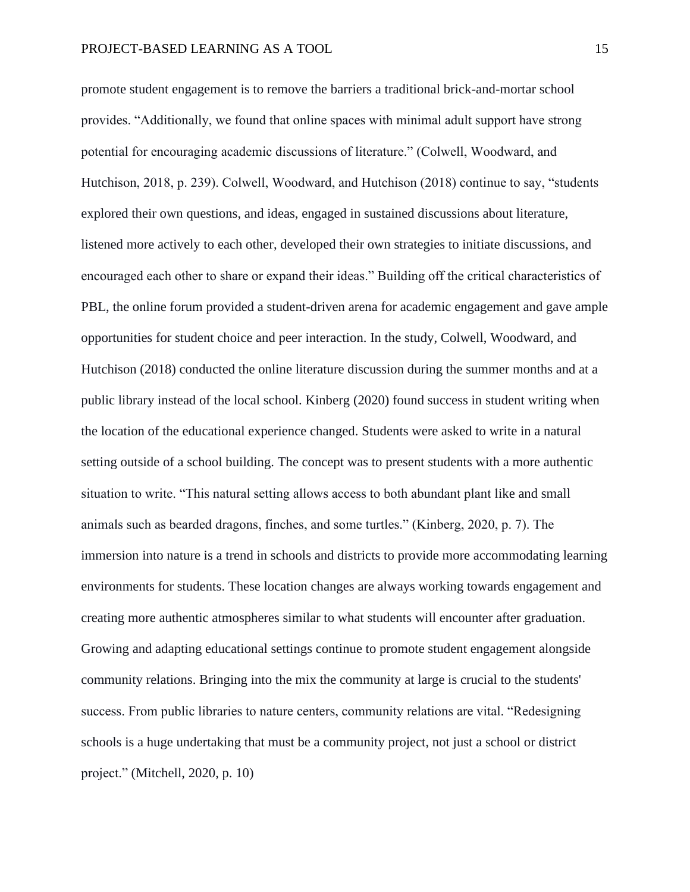promote student engagement is to remove the barriers a traditional brick-and-mortar school provides. "Additionally, we found that online spaces with minimal adult support have strong potential for encouraging academic discussions of literature." (Colwell, Woodward, and Hutchison, 2018, p. 239). Colwell, Woodward, and Hutchison (2018) continue to say, "students explored their own questions, and ideas, engaged in sustained discussions about literature, listened more actively to each other, developed their own strategies to initiate discussions, and encouraged each other to share or expand their ideas." Building off the critical characteristics of PBL, the online forum provided a student-driven arena for academic engagement and gave ample opportunities for student choice and peer interaction. In the study, Colwell, Woodward, and Hutchison (2018) conducted the online literature discussion during the summer months and at a public library instead of the local school. Kinberg (2020) found success in student writing when the location of the educational experience changed. Students were asked to write in a natural setting outside of a school building. The concept was to present students with a more authentic situation to write. "This natural setting allows access to both abundant plant like and small animals such as bearded dragons, finches, and some turtles." (Kinberg, 2020, p. 7). The immersion into nature is a trend in schools and districts to provide more accommodating learning environments for students. These location changes are always working towards engagement and creating more authentic atmospheres similar to what students will encounter after graduation. Growing and adapting educational settings continue to promote student engagement alongside community relations. Bringing into the mix the community at large is crucial to the students' success. From public libraries to nature centers, community relations are vital. "Redesigning schools is a huge undertaking that must be a community project, not just a school or district project." (Mitchell, 2020, p. 10)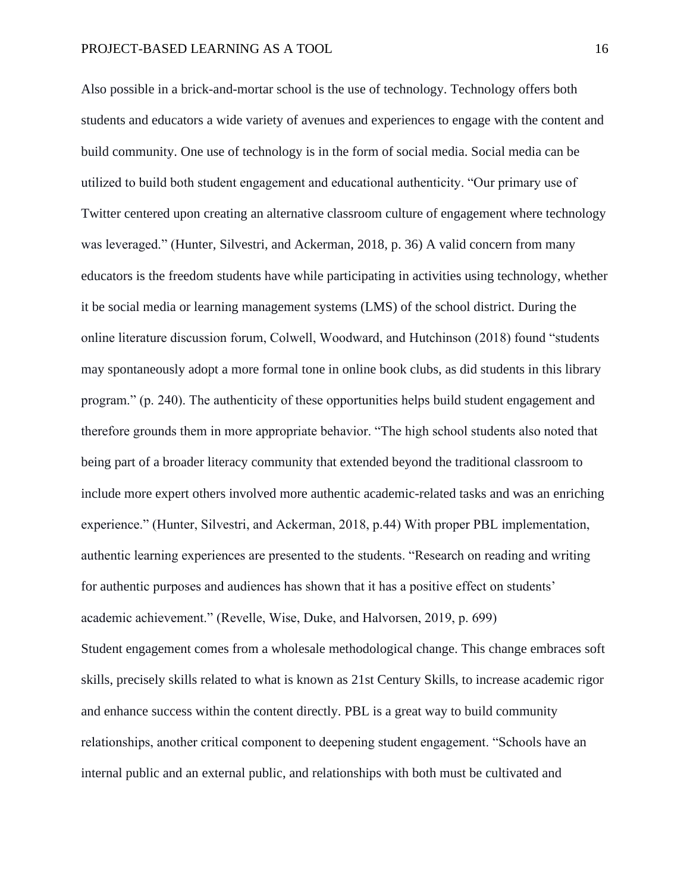Also possible in a brick-and-mortar school is the use of technology. Technology offers both students and educators a wide variety of avenues and experiences to engage with the content and build community. One use of technology is in the form of social media. Social media can be utilized to build both student engagement and educational authenticity. "Our primary use of Twitter centered upon creating an alternative classroom culture of engagement where technology was leveraged." (Hunter, Silvestri, and Ackerman, 2018, p. 36) A valid concern from many educators is the freedom students have while participating in activities using technology, whether it be social media or learning management systems (LMS) of the school district. During the online literature discussion forum, Colwell, Woodward, and Hutchinson (2018) found "students may spontaneously adopt a more formal tone in online book clubs, as did students in this library program." (p. 240). The authenticity of these opportunities helps build student engagement and therefore grounds them in more appropriate behavior. "The high school students also noted that being part of a broader literacy community that extended beyond the traditional classroom to include more expert others involved more authentic academic-related tasks and was an enriching experience." (Hunter, Silvestri, and Ackerman, 2018, p.44) With proper PBL implementation, authentic learning experiences are presented to the students. "Research on reading and writing for authentic purposes and audiences has shown that it has a positive effect on students' academic achievement." (Revelle, Wise, Duke, and Halvorsen, 2019, p. 699) Student engagement comes from a wholesale methodological change. This change embraces soft skills, precisely skills related to what is known as 21st Century Skills, to increase academic rigor and enhance success within the content directly. PBL is a great way to build community relationships, another critical component to deepening student engagement. "Schools have an internal public and an external public, and relationships with both must be cultivated and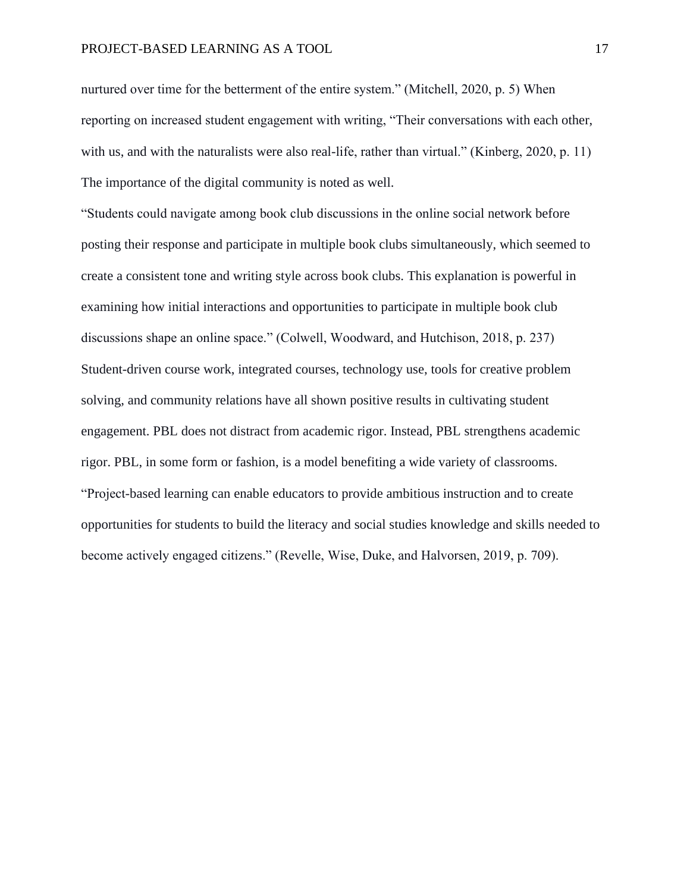nurtured over time for the betterment of the entire system." (Mitchell, 2020, p. 5) When reporting on increased student engagement with writing, "Their conversations with each other, with us, and with the naturalists were also real-life, rather than virtual." (Kinberg, 2020, p. 11) The importance of the digital community is noted as well.

"Students could navigate among book club discussions in the online social network before posting their response and participate in multiple book clubs simultaneously, which seemed to create a consistent tone and writing style across book clubs. This explanation is powerful in examining how initial interactions and opportunities to participate in multiple book club discussions shape an online space." (Colwell, Woodward, and Hutchison, 2018, p. 237) Student-driven course work, integrated courses, technology use, tools for creative problem solving, and community relations have all shown positive results in cultivating student engagement. PBL does not distract from academic rigor. Instead, PBL strengthens academic rigor. PBL, in some form or fashion, is a model benefiting a wide variety of classrooms. "Project-based learning can enable educators to provide ambitious instruction and to create opportunities for students to build the literacy and social studies knowledge and skills needed to become actively engaged citizens." (Revelle, Wise, Duke, and Halvorsen, 2019, p. 709).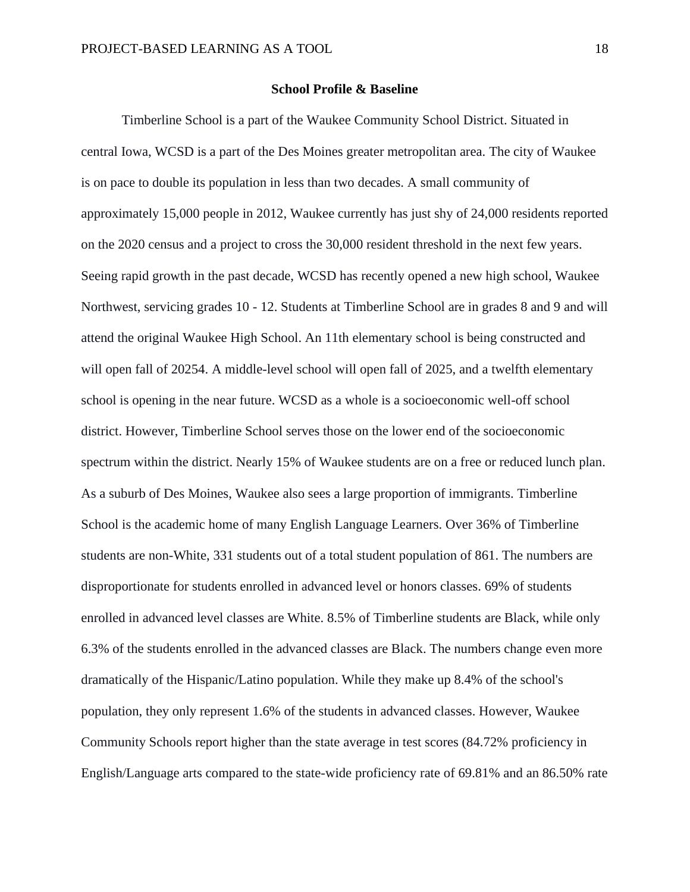#### **School Profile & Baseline**

Timberline School is a part of the Waukee Community School District. Situated in central Iowa, WCSD is a part of the Des Moines greater metropolitan area. The city of Waukee is on pace to double its population in less than two decades. A small community of approximately 15,000 people in 2012, Waukee currently has just shy of 24,000 residents reported on the 2020 census and a project to cross the 30,000 resident threshold in the next few years. Seeing rapid growth in the past decade, WCSD has recently opened a new high school, Waukee Northwest, servicing grades 10 - 12. Students at Timberline School are in grades 8 and 9 and will attend the original Waukee High School. An 11th elementary school is being constructed and will open fall of 20254. A middle-level school will open fall of 2025, and a twelfth elementary school is opening in the near future. WCSD as a whole is a socioeconomic well-off school district. However, Timberline School serves those on the lower end of the socioeconomic spectrum within the district. Nearly 15% of Waukee students are on a free or reduced lunch plan. As a suburb of Des Moines, Waukee also sees a large proportion of immigrants. Timberline School is the academic home of many English Language Learners. Over 36% of Timberline students are non-White, 331 students out of a total student population of 861. The numbers are disproportionate for students enrolled in advanced level or honors classes. 69% of students enrolled in advanced level classes are White. 8.5% of Timberline students are Black, while only 6.3% of the students enrolled in the advanced classes are Black. The numbers change even more dramatically of the Hispanic/Latino population. While they make up 8.4% of the school's population, they only represent 1.6% of the students in advanced classes. However, Waukee Community Schools report higher than the state average in test scores (84.72% proficiency in English/Language arts compared to the state-wide proficiency rate of 69.81% and an 86.50% rate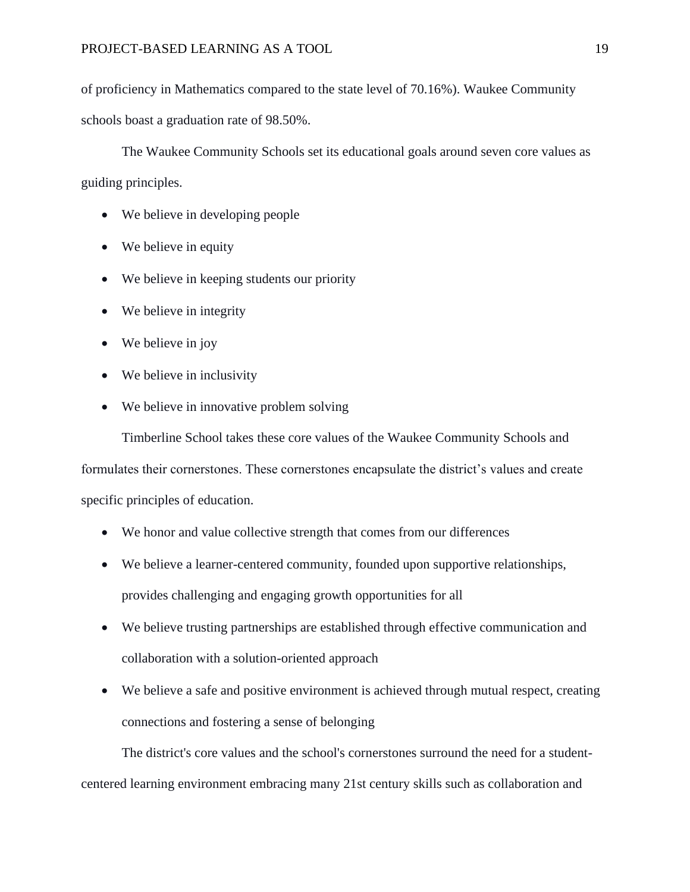of proficiency in Mathematics compared to the state level of 70.16%). Waukee Community schools boast a graduation rate of 98.50%.

The Waukee Community Schools set its educational goals around seven core values as guiding principles.

- We believe in developing people
- We believe in equity
- We believe in keeping students our priority
- We believe in integrity
- We believe in joy
- We believe in inclusivity
- We believe in innovative problem solving

Timberline School takes these core values of the Waukee Community Schools and

formulates their cornerstones. These cornerstones encapsulate the district's values and create specific principles of education.

- We honor and value collective strength that comes from our differences
- We believe a learner-centered community, founded upon supportive relationships, provides challenging and engaging growth opportunities for all
- We believe trusting partnerships are established through effective communication and collaboration with a solution-oriented approach
- We believe a safe and positive environment is achieved through mutual respect, creating connections and fostering a sense of belonging

The district's core values and the school's cornerstones surround the need for a studentcentered learning environment embracing many 21st century skills such as collaboration and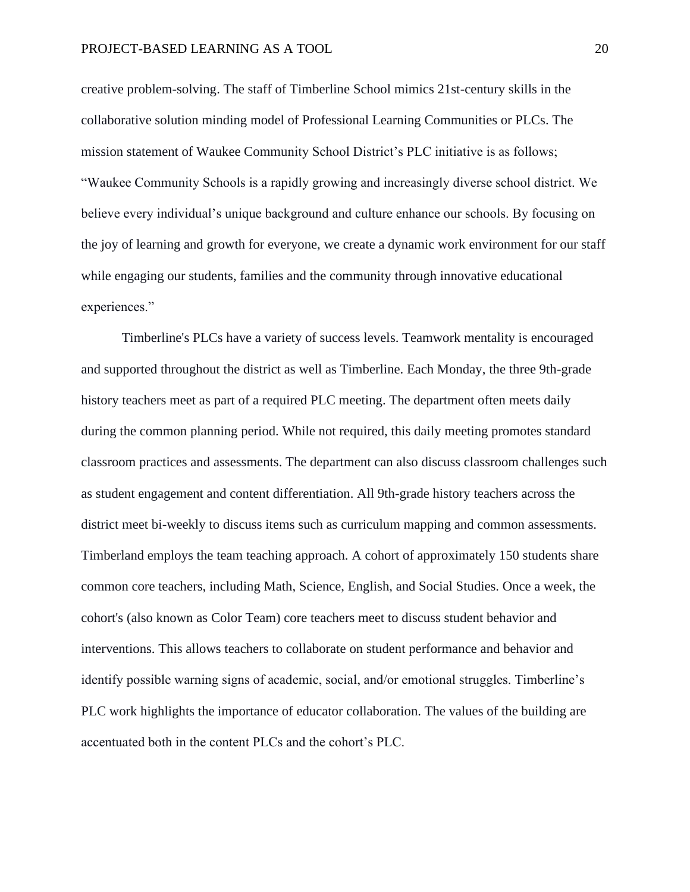creative problem-solving. The staff of Timberline School mimics 21st-century skills in the collaborative solution minding model of Professional Learning Communities or PLCs. The mission statement of Waukee Community School District's PLC initiative is as follows; "Waukee Community Schools is a rapidly growing and increasingly diverse school district. We believe every individual's unique background and culture enhance our schools. By focusing on the joy of learning and growth for everyone, we create a dynamic work environment for our staff while engaging our students, families and the community through innovative educational experiences."

Timberline's PLCs have a variety of success levels. Teamwork mentality is encouraged and supported throughout the district as well as Timberline. Each Monday, the three 9th-grade history teachers meet as part of a required PLC meeting. The department often meets daily during the common planning period. While not required, this daily meeting promotes standard classroom practices and assessments. The department can also discuss classroom challenges such as student engagement and content differentiation. All 9th-grade history teachers across the district meet bi-weekly to discuss items such as curriculum mapping and common assessments. Timberland employs the team teaching approach. A cohort of approximately 150 students share common core teachers, including Math, Science, English, and Social Studies. Once a week, the cohort's (also known as Color Team) core teachers meet to discuss student behavior and interventions. This allows teachers to collaborate on student performance and behavior and identify possible warning signs of academic, social, and/or emotional struggles. Timberline's PLC work highlights the importance of educator collaboration. The values of the building are accentuated both in the content PLCs and the cohort's PLC.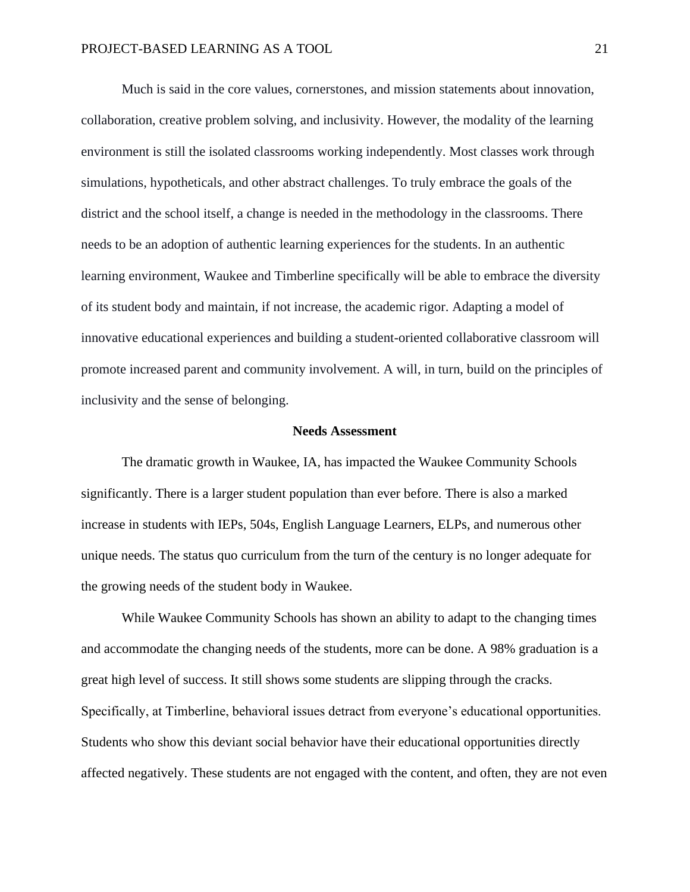Much is said in the core values, cornerstones, and mission statements about innovation, collaboration, creative problem solving, and inclusivity. However, the modality of the learning environment is still the isolated classrooms working independently. Most classes work through simulations, hypotheticals, and other abstract challenges. To truly embrace the goals of the district and the school itself, a change is needed in the methodology in the classrooms. There needs to be an adoption of authentic learning experiences for the students. In an authentic learning environment, Waukee and Timberline specifically will be able to embrace the diversity of its student body and maintain, if not increase, the academic rigor. Adapting a model of innovative educational experiences and building a student-oriented collaborative classroom will promote increased parent and community involvement. A will, in turn, build on the principles of inclusivity and the sense of belonging.

#### **Needs Assessment**

The dramatic growth in Waukee, IA, has impacted the Waukee Community Schools significantly. There is a larger student population than ever before. There is also a marked increase in students with IEPs, 504s, English Language Learners, ELPs, and numerous other unique needs. The status quo curriculum from the turn of the century is no longer adequate for the growing needs of the student body in Waukee.

While Waukee Community Schools has shown an ability to adapt to the changing times and accommodate the changing needs of the students, more can be done. A 98% graduation is a great high level of success. It still shows some students are slipping through the cracks. Specifically, at Timberline, behavioral issues detract from everyone's educational opportunities. Students who show this deviant social behavior have their educational opportunities directly affected negatively. These students are not engaged with the content, and often, they are not even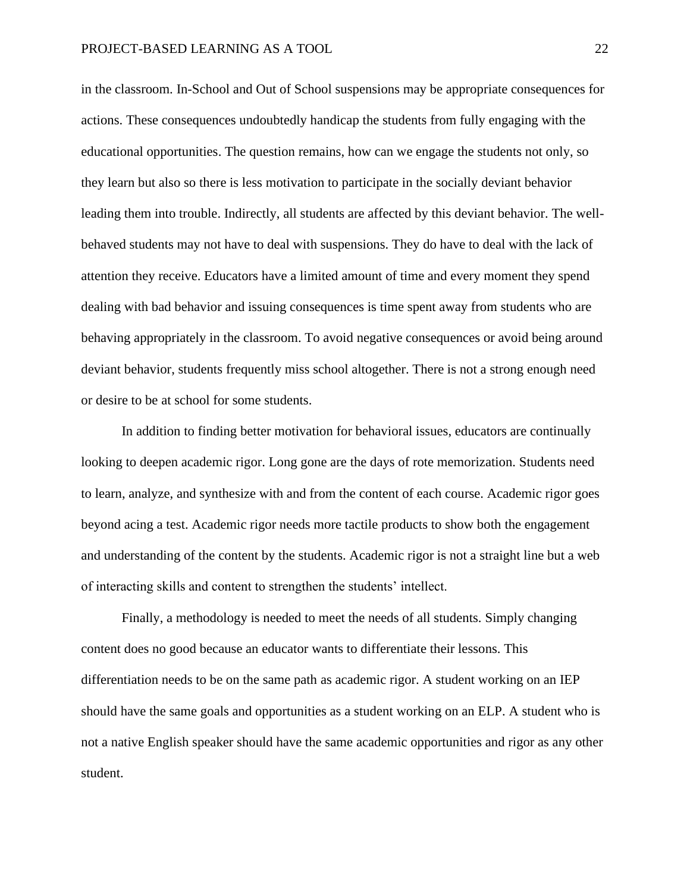in the classroom. In-School and Out of School suspensions may be appropriate consequences for actions. These consequences undoubtedly handicap the students from fully engaging with the educational opportunities. The question remains, how can we engage the students not only, so they learn but also so there is less motivation to participate in the socially deviant behavior leading them into trouble. Indirectly, all students are affected by this deviant behavior. The wellbehaved students may not have to deal with suspensions. They do have to deal with the lack of attention they receive. Educators have a limited amount of time and every moment they spend dealing with bad behavior and issuing consequences is time spent away from students who are behaving appropriately in the classroom. To avoid negative consequences or avoid being around deviant behavior, students frequently miss school altogether. There is not a strong enough need or desire to be at school for some students.

In addition to finding better motivation for behavioral issues, educators are continually looking to deepen academic rigor. Long gone are the days of rote memorization. Students need to learn, analyze, and synthesize with and from the content of each course. Academic rigor goes beyond acing a test. Academic rigor needs more tactile products to show both the engagement and understanding of the content by the students. Academic rigor is not a straight line but a web of interacting skills and content to strengthen the students' intellect.

Finally, a methodology is needed to meet the needs of all students. Simply changing content does no good because an educator wants to differentiate their lessons. This differentiation needs to be on the same path as academic rigor. A student working on an IEP should have the same goals and opportunities as a student working on an ELP. A student who is not a native English speaker should have the same academic opportunities and rigor as any other student.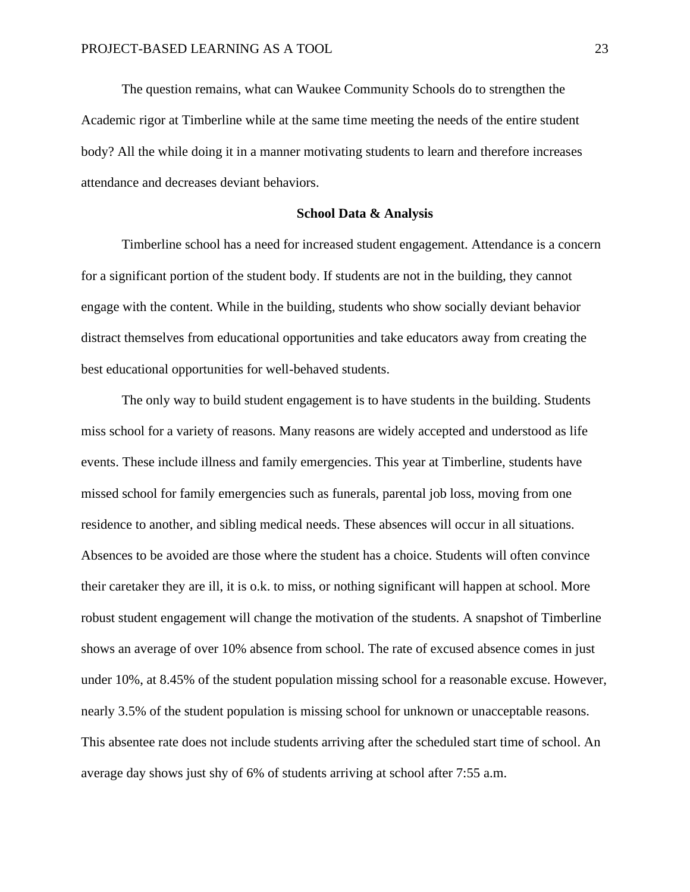The question remains, what can Waukee Community Schools do to strengthen the Academic rigor at Timberline while at the same time meeting the needs of the entire student body? All the while doing it in a manner motivating students to learn and therefore increases attendance and decreases deviant behaviors.

#### **School Data & Analysis**

Timberline school has a need for increased student engagement. Attendance is a concern for a significant portion of the student body. If students are not in the building, they cannot engage with the content. While in the building, students who show socially deviant behavior distract themselves from educational opportunities and take educators away from creating the best educational opportunities for well-behaved students.

The only way to build student engagement is to have students in the building. Students miss school for a variety of reasons. Many reasons are widely accepted and understood as life events. These include illness and family emergencies. This year at Timberline, students have missed school for family emergencies such as funerals, parental job loss, moving from one residence to another, and sibling medical needs. These absences will occur in all situations. Absences to be avoided are those where the student has a choice. Students will often convince their caretaker they are ill, it is o.k. to miss, or nothing significant will happen at school. More robust student engagement will change the motivation of the students. A snapshot of Timberline shows an average of over 10% absence from school. The rate of excused absence comes in just under 10%, at 8.45% of the student population missing school for a reasonable excuse. However, nearly 3.5% of the student population is missing school for unknown or unacceptable reasons. This absentee rate does not include students arriving after the scheduled start time of school. An average day shows just shy of 6% of students arriving at school after 7:55 a.m.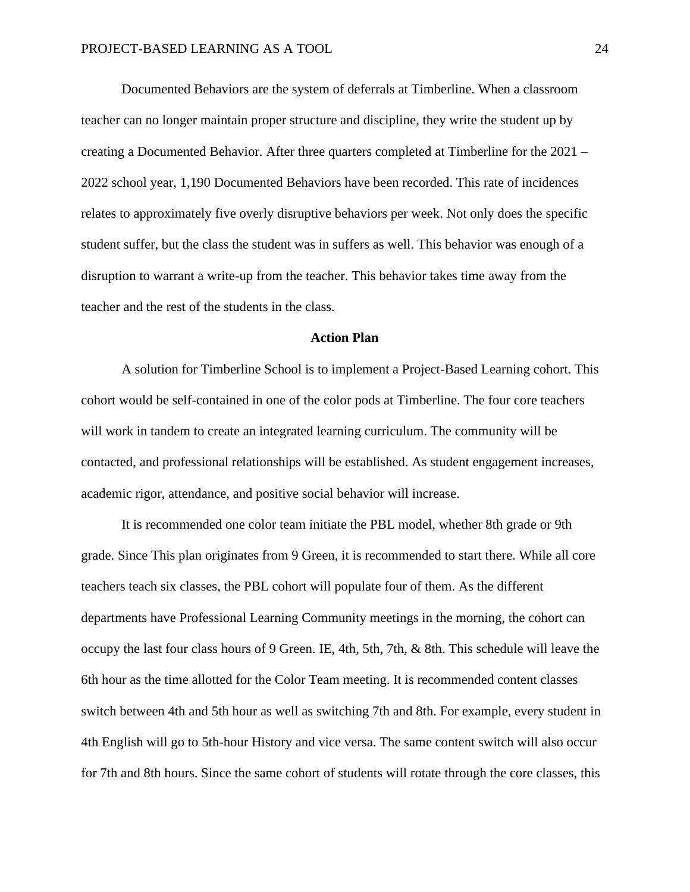Documented Behaviors are the system of deferrals at Timberline. When a classroom teacher can no longer maintain proper structure and discipline, they write the student up by creating a Documented Behavior. After three quarters completed at Timberline for the 2021 – 2022 school year, 1,190 Documented Behaviors have been recorded. This rate of incidences relates to approximately five overly disruptive behaviors per week. Not only does the specific student suffer, but the class the student was in suffers as well. This behavior was enough of a disruption to warrant a write-up from the teacher. This behavior takes time away from the teacher and the rest of the students in the class.

#### **Action Plan**

A solution for Timberline School is to implement a Project-Based Learning cohort. This cohort would be self-contained in one of the color pods at Timberline. The four core teachers will work in tandem to create an integrated learning curriculum. The community will be contacted, and professional relationships will be established. As student engagement increases, academic rigor, attendance, and positive social behavior will increase.

It is recommended one color team initiate the PBL model, whether 8th grade or 9th grade. Since This plan originates from 9 Green, it is recommended to start there. While all core teachers teach six classes, the PBL cohort will populate four of them. As the different departments have Professional Learning Community meetings in the morning, the cohort can occupy the last four class hours of 9 Green. IE, 4th, 5th, 7th, & 8th. This schedule will leave the 6th hour as the time allotted for the Color Team meeting. It is recommended content classes switch between 4th and 5th hour as well as switching 7th and 8th. For example, every student in 4th English will go to 5th-hour History and vice versa. The same content switch will also occur for 7th and 8th hours. Since the same cohort of students will rotate through the core classes, this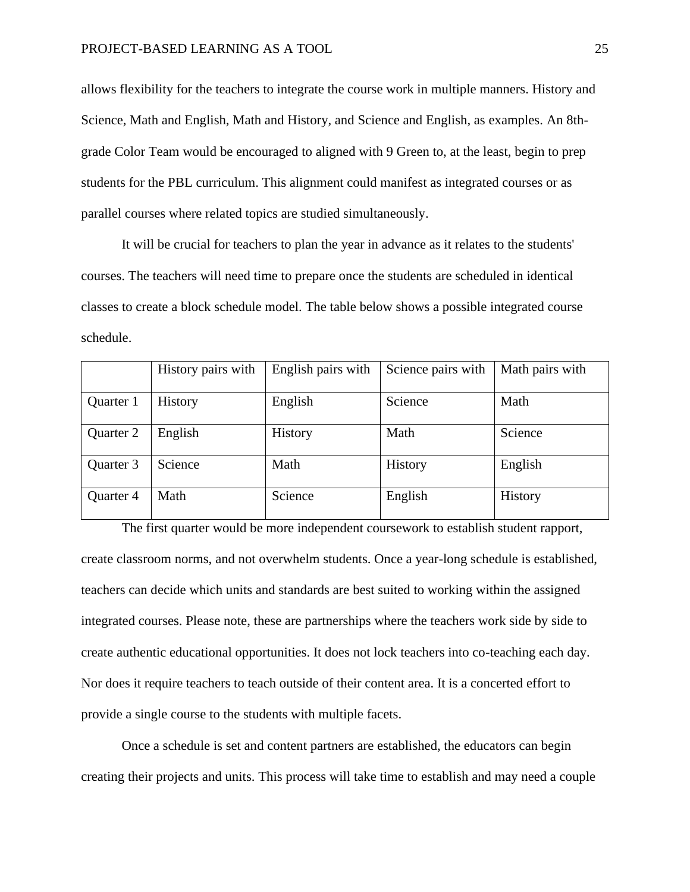allows flexibility for the teachers to integrate the course work in multiple manners. History and Science, Math and English, Math and History, and Science and English, as examples. An 8thgrade Color Team would be encouraged to aligned with 9 Green to, at the least, begin to prep students for the PBL curriculum. This alignment could manifest as integrated courses or as parallel courses where related topics are studied simultaneously.

It will be crucial for teachers to plan the year in advance as it relates to the students' courses. The teachers will need time to prepare once the students are scheduled in identical classes to create a block schedule model. The table below shows a possible integrated course schedule.

|           | History pairs with | English pairs with | Science pairs with | Math pairs with |
|-----------|--------------------|--------------------|--------------------|-----------------|
|           |                    |                    |                    |                 |
| Quarter 1 | History            | English            | Science            | Math            |
|           |                    |                    |                    |                 |
| Quarter 2 | English            | History            | Math               | Science         |
| Quarter 3 | Science            | Math               | History            | English         |
| Quarter 4 | Math               | Science            | English            | History         |

The first quarter would be more independent coursework to establish student rapport, create classroom norms, and not overwhelm students. Once a year-long schedule is established, teachers can decide which units and standards are best suited to working within the assigned integrated courses. Please note, these are partnerships where the teachers work side by side to create authentic educational opportunities. It does not lock teachers into co-teaching each day. Nor does it require teachers to teach outside of their content area. It is a concerted effort to provide a single course to the students with multiple facets.

Once a schedule is set and content partners are established, the educators can begin creating their projects and units. This process will take time to establish and may need a couple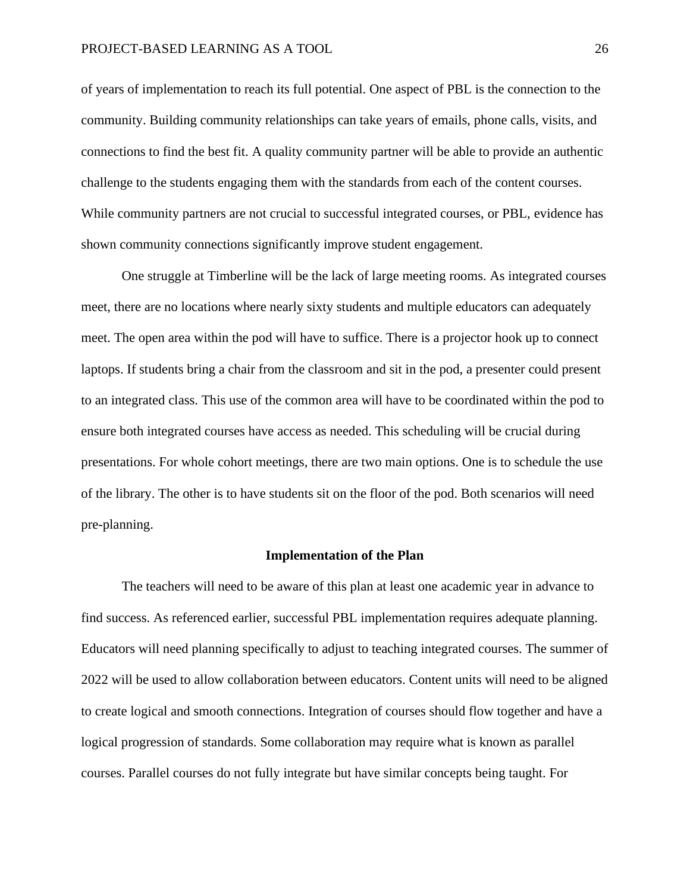of years of implementation to reach its full potential. One aspect of PBL is the connection to the community. Building community relationships can take years of emails, phone calls, visits, and connections to find the best fit. A quality community partner will be able to provide an authentic challenge to the students engaging them with the standards from each of the content courses. While community partners are not crucial to successful integrated courses, or PBL, evidence has shown community connections significantly improve student engagement.

One struggle at Timberline will be the lack of large meeting rooms. As integrated courses meet, there are no locations where nearly sixty students and multiple educators can adequately meet. The open area within the pod will have to suffice. There is a projector hook up to connect laptops. If students bring a chair from the classroom and sit in the pod, a presenter could present to an integrated class. This use of the common area will have to be coordinated within the pod to ensure both integrated courses have access as needed. This scheduling will be crucial during presentations. For whole cohort meetings, there are two main options. One is to schedule the use of the library. The other is to have students sit on the floor of the pod. Both scenarios will need pre-planning.

#### **Implementation of the Plan**

The teachers will need to be aware of this plan at least one academic year in advance to find success. As referenced earlier, successful PBL implementation requires adequate planning. Educators will need planning specifically to adjust to teaching integrated courses. The summer of 2022 will be used to allow collaboration between educators. Content units will need to be aligned to create logical and smooth connections. Integration of courses should flow together and have a logical progression of standards. Some collaboration may require what is known as parallel courses. Parallel courses do not fully integrate but have similar concepts being taught. For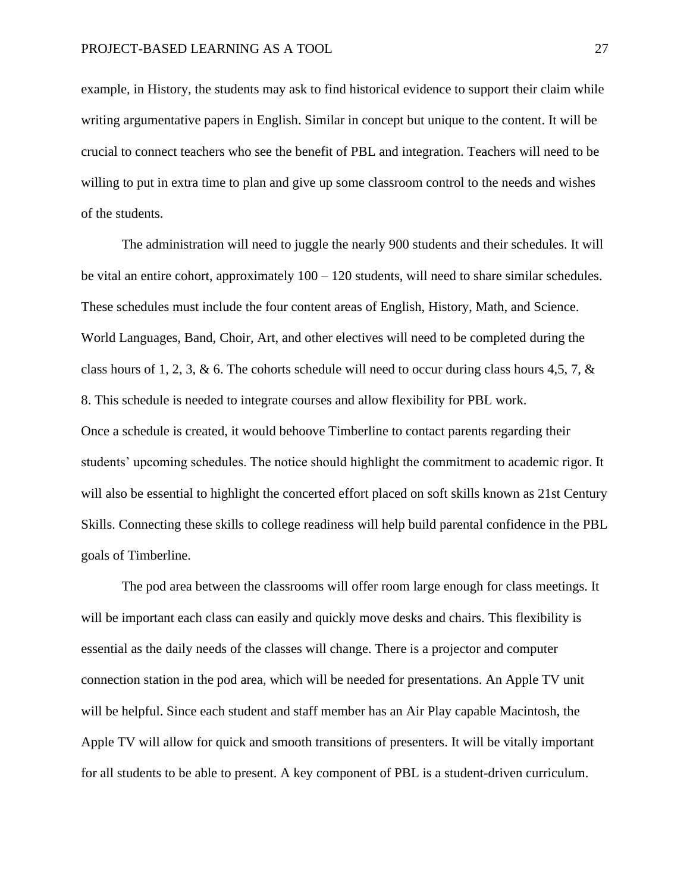example, in History, the students may ask to find historical evidence to support their claim while writing argumentative papers in English. Similar in concept but unique to the content. It will be crucial to connect teachers who see the benefit of PBL and integration. Teachers will need to be willing to put in extra time to plan and give up some classroom control to the needs and wishes of the students.

The administration will need to juggle the nearly 900 students and their schedules. It will be vital an entire cohort, approximately  $100 - 120$  students, will need to share similar schedules. These schedules must include the four content areas of English, History, Math, and Science. World Languages, Band, Choir, Art, and other electives will need to be completed during the class hours of 1, 2, 3, & 6. The cohorts schedule will need to occur during class hours 4,5, 7,  $\&$ 8. This schedule is needed to integrate courses and allow flexibility for PBL work. Once a schedule is created, it would behoove Timberline to contact parents regarding their students' upcoming schedules. The notice should highlight the commitment to academic rigor. It will also be essential to highlight the concerted effort placed on soft skills known as 21st Century Skills. Connecting these skills to college readiness will help build parental confidence in the PBL goals of Timberline.

The pod area between the classrooms will offer room large enough for class meetings. It will be important each class can easily and quickly move desks and chairs. This flexibility is essential as the daily needs of the classes will change. There is a projector and computer connection station in the pod area, which will be needed for presentations. An Apple TV unit will be helpful. Since each student and staff member has an Air Play capable Macintosh, the Apple TV will allow for quick and smooth transitions of presenters. It will be vitally important for all students to be able to present. A key component of PBL is a student-driven curriculum.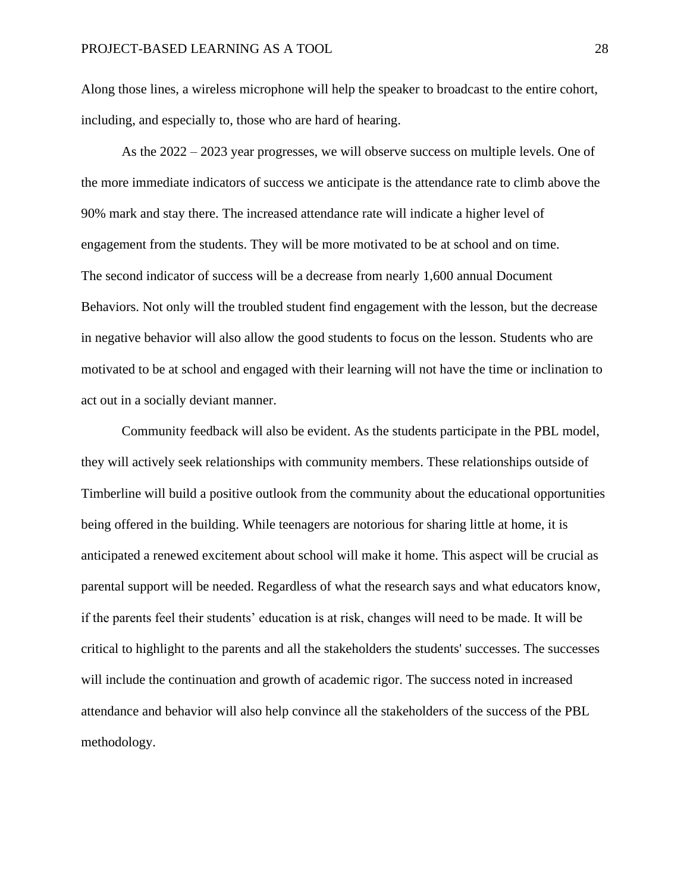Along those lines, a wireless microphone will help the speaker to broadcast to the entire cohort, including, and especially to, those who are hard of hearing.

As the 2022 – 2023 year progresses, we will observe success on multiple levels. One of the more immediate indicators of success we anticipate is the attendance rate to climb above the 90% mark and stay there. The increased attendance rate will indicate a higher level of engagement from the students. They will be more motivated to be at school and on time. The second indicator of success will be a decrease from nearly 1,600 annual Document Behaviors. Not only will the troubled student find engagement with the lesson, but the decrease in negative behavior will also allow the good students to focus on the lesson. Students who are motivated to be at school and engaged with their learning will not have the time or inclination to act out in a socially deviant manner.

Community feedback will also be evident. As the students participate in the PBL model, they will actively seek relationships with community members. These relationships outside of Timberline will build a positive outlook from the community about the educational opportunities being offered in the building. While teenagers are notorious for sharing little at home, it is anticipated a renewed excitement about school will make it home. This aspect will be crucial as parental support will be needed. Regardless of what the research says and what educators know, if the parents feel their students' education is at risk, changes will need to be made. It will be critical to highlight to the parents and all the stakeholders the students' successes. The successes will include the continuation and growth of academic rigor. The success noted in increased attendance and behavior will also help convince all the stakeholders of the success of the PBL methodology.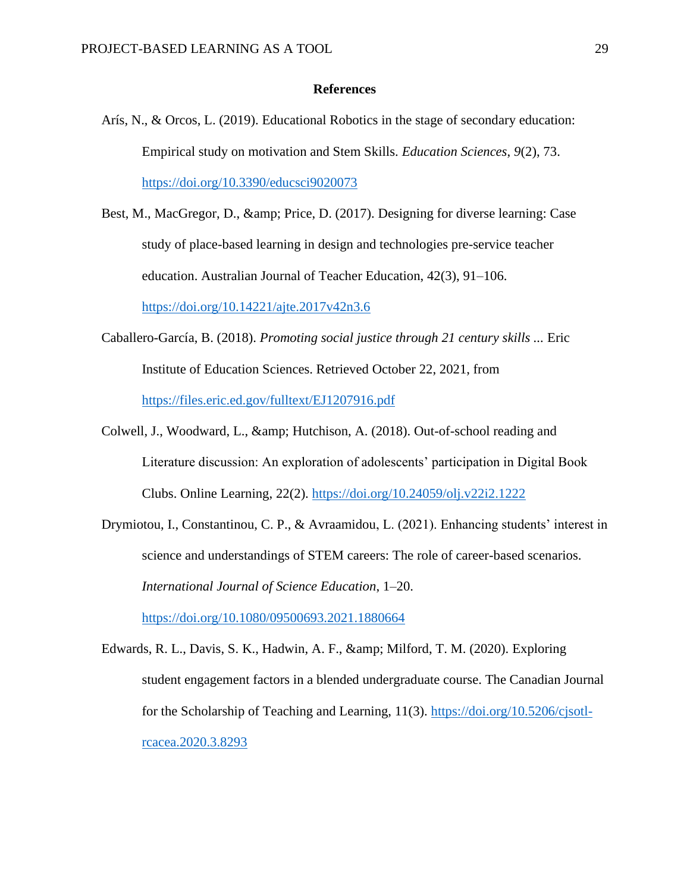#### **References**

- Arís, N., & Orcos, L. (2019). Educational Robotics in the stage of secondary education: Empirical study on motivation and Stem Skills. *Education Sciences*, *9*(2), 73. <https://doi.org/10.3390/educsci9020073>
- Best, M., MacGregor, D., & amp; Price, D. (2017). Designing for diverse learning: Case study of place-based learning in design and technologies pre-service teacher education. Australian Journal of Teacher Education, 42(3), 91–106. <https://doi.org/10.14221/ajte.2017v42n3.6>
- Caballero-García, B. (2018). *Promoting social justice through 21 century skills ...* Eric Institute of Education Sciences. Retrieved October 22, 2021, from <https://files.eric.ed.gov/fulltext/EJ1207916.pdf>
- Colwell, J., Woodward, L., & amp; Hutchison, A. (2018). Out-of-school reading and Literature discussion: An exploration of adolescents' participation in Digital Book Clubs. Online Learning, 22(2).<https://doi.org/10.24059/olj.v22i2.1222>
- Drymiotou, I., Constantinou, C. P., & Avraamidou, L. (2021). Enhancing students' interest in science and understandings of STEM careers: The role of career-based scenarios. *International Journal of Science Education*, 1–20.

<https://doi.org/10.1080/09500693.2021.1880664>

Edwards, R. L., Davis, S. K., Hadwin, A. F., & amp; Milford, T. M. (2020). Exploring student engagement factors in a blended undergraduate course. The Canadian Journal for the Scholarship of Teaching and Learning, 11(3). [https://doi.org/10.5206/cjsotl](https://doi.org/10.5206/cjsotl-rcacea.2020.3.8293)[rcacea.2020.3.8293](https://doi.org/10.5206/cjsotl-rcacea.2020.3.8293)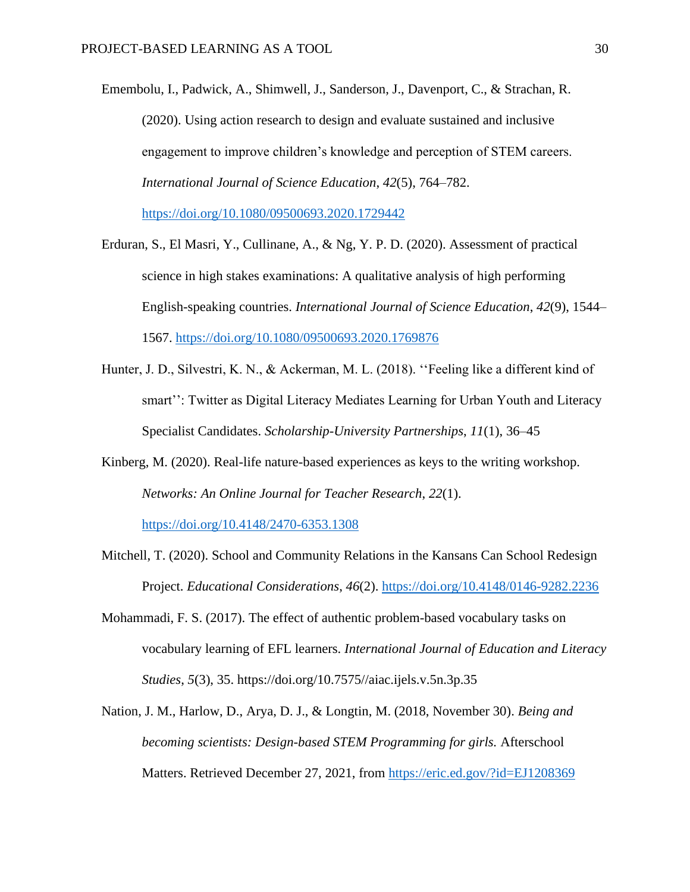- Emembolu, I., Padwick, A., Shimwell, J., Sanderson, J., Davenport, C., & Strachan, R. (2020). Using action research to design and evaluate sustained and inclusive engagement to improve children's knowledge and perception of STEM careers. *International Journal of Science Education*, *42*(5), 764–782. <https://doi.org/10.1080/09500693.2020.1729442>
- Erduran, S., El Masri, Y., Cullinane, A., & Ng, Y. P. D. (2020). Assessment of practical science in high stakes examinations: A qualitative analysis of high performing English-speaking countries. *International Journal of Science Education*, *42*(9), 1544– 1567.<https://doi.org/10.1080/09500693.2020.1769876>
- Hunter, J. D., Silvestri, K. N., & Ackerman, M. L. (2018). ''Feeling like a different kind of smart'': Twitter as Digital Literacy Mediates Learning for Urban Youth and Literacy Specialist Candidates. *Scholarship-University Partnerships*, *11*(1), 36–45
- Kinberg, M. (2020). Real-life nature-based experiences as keys to the writing workshop. *Networks: An Online Journal for Teacher Research*, *22*(1).

<https://doi.org/10.4148/2470-6353.1308>

- Mitchell, T. (2020). School and Community Relations in the Kansans Can School Redesign Project. *Educational Considerations*, *46*(2).<https://doi.org/10.4148/0146-9282.2236>
- Mohammadi, F. S. (2017). The effect of authentic problem-based vocabulary tasks on vocabulary learning of EFL learners. *International Journal of Education and Literacy Studies*, *5*(3), 35. https://doi.org/10.7575//aiac.ijels.v.5n.3p.35
- Nation, J. M., Harlow, D., Arya, D. J., & Longtin, M. (2018, November 30). *Being and becoming scientists: Design-based STEM Programming for girls.* Afterschool Matters. Retrieved December 27, 2021, from<https://eric.ed.gov/?id=EJ1208369>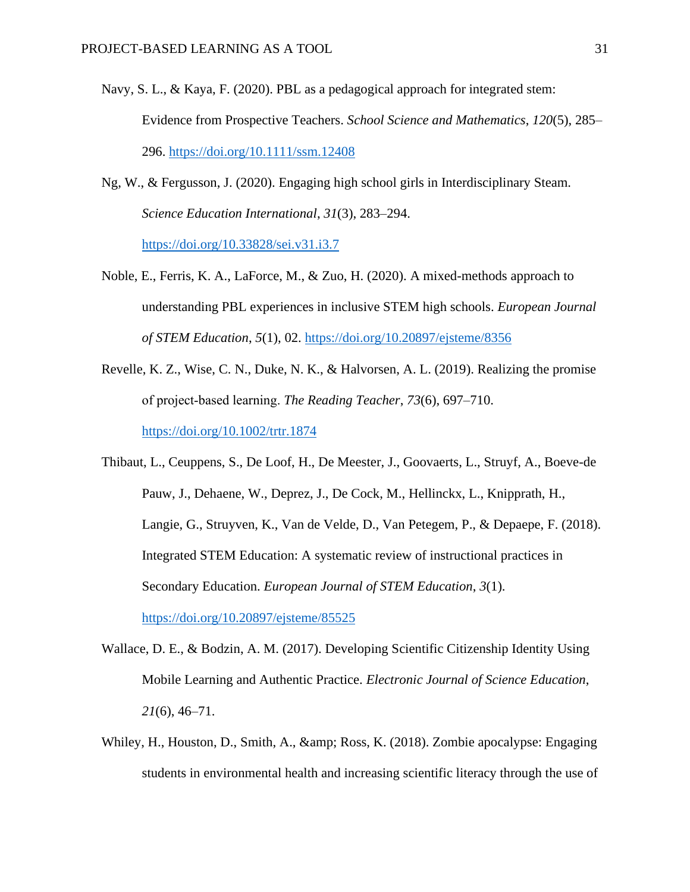- Navy, S. L., & Kaya, F. (2020). PBL as a pedagogical approach for integrated stem: Evidence from Prospective Teachers. *School Science and Mathematics*, *120*(5), 285– 296.<https://doi.org/10.1111/ssm.12408>
- Ng, W., & Fergusson, J. (2020). Engaging high school girls in Interdisciplinary Steam. *Science Education International*, *31*(3), 283–294. <https://doi.org/10.33828/sei.v31.i3.7>
- Noble, E., Ferris, K. A., LaForce, M., & Zuo, H. (2020). A mixed-methods approach to understanding PBL experiences in inclusive STEM high schools. *European Journal of STEM Education*, *5*(1), 02.<https://doi.org/10.20897/ejsteme/8356>
- Revelle, K. Z., Wise, C. N., Duke, N. K., & Halvorsen, A. L. (2019). Realizing the promise of project‐based learning. *The Reading Teacher*, *73*(6), 697–710. <https://doi.org/10.1002/trtr.1874>

Thibaut, L., Ceuppens, S., De Loof, H., De Meester, J., Goovaerts, L., Struyf, A., Boeve-de Pauw, J., Dehaene, W., Deprez, J., De Cock, M., Hellinckx, L., Knipprath, H., Langie, G., Struyven, K., Van de Velde, D., Van Petegem, P., & Depaepe, F. (2018). Integrated STEM Education: A systematic review of instructional practices in Secondary Education. *European Journal of STEM Education*, *3*(1). <https://doi.org/10.20897/ejsteme/85525>

- Wallace, D. E., & Bodzin, A. M. (2017). Developing Scientific Citizenship Identity Using Mobile Learning and Authentic Practice. *Electronic Journal of Science Education*, *21*(6), 46–71.
- Whiley, H., Houston, D., Smith, A., & amp; Ross, K. (2018). Zombie apocalypse: Engaging students in environmental health and increasing scientific literacy through the use of